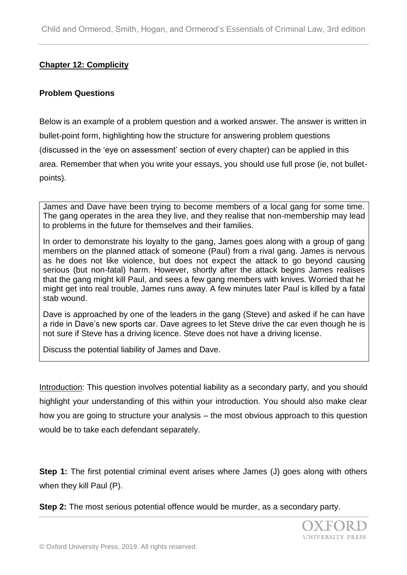## **Chapter 12: Complicity**

#### **Problem Questions**

Below is an example of a problem question and a worked answer. The answer is written in bullet-point form, highlighting how the structure for answering problem questions (discussed in the 'eye on assessment' section of every chapter) can be applied in this area. Remember that when you write your essays, you should use full prose (ie, not bulletpoints).

James and Dave have been trying to become members of a local gang for some time. The gang operates in the area they live, and they realise that non-membership may lead to problems in the future for themselves and their families.

In order to demonstrate his loyalty to the gang, James goes along with a group of gang members on the planned attack of someone (Paul) from a rival gang. James is nervous as he does not like violence, but does not expect the attack to go beyond causing serious (but non-fatal) harm. However, shortly after the attack begins James realises that the gang might kill Paul, and sees a few gang members with knives. Worried that he might get into real trouble, James runs away. A few minutes later Paul is killed by a fatal stab wound.

Dave is approached by one of the leaders in the gang (Steve) and asked if he can have a ride in Dave's new sports car. Dave agrees to let Steve drive the car even though he is not sure if Steve has a driving licence. Steve does not have a driving license.

Discuss the potential liability of James and Dave.

Introduction: This question involves potential liability as a secondary party, and you should highlight your understanding of this within your introduction. You should also make clear how you are going to structure your analysis – the most obvious approach to this question would be to take each defendant separately.

**Step 1:** The first potential criminal event arises where James (J) goes along with others when they kill Paul (P).

**Step 2:** The most serious potential offence would be murder, as a secondary party.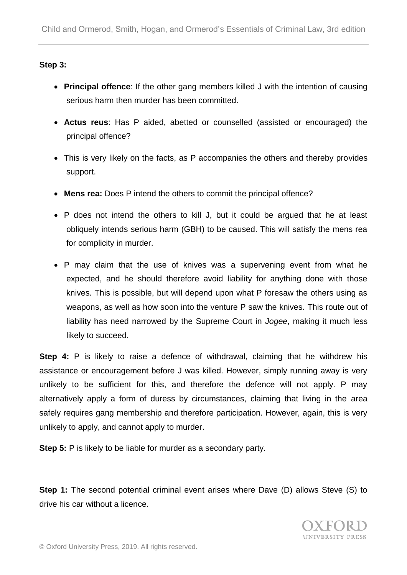## **Step 3:**

- **Principal offence**: If the other gang members killed J with the intention of causing serious harm then murder has been committed.
- **Actus reus**: Has P aided, abetted or counselled (assisted or encouraged) the principal offence?
- This is very likely on the facts, as P accompanies the others and thereby provides support.
- **Mens rea:** Does P intend the others to commit the principal offence?
- P does not intend the others to kill J, but it could be argued that he at least obliquely intends serious harm (GBH) to be caused. This will satisfy the mens rea for complicity in murder.
- P may claim that the use of knives was a supervening event from what he expected, and he should therefore avoid liability for anything done with those knives. This is possible, but will depend upon what P foresaw the others using as weapons, as well as how soon into the venture P saw the knives. This route out of liability has need narrowed by the Supreme Court in *Jogee*, making it much less likely to succeed.

**Step 4:** P is likely to raise a defence of withdrawal, claiming that he withdrew his assistance or encouragement before J was killed. However, simply running away is very unlikely to be sufficient for this, and therefore the defence will not apply. P may alternatively apply a form of duress by circumstances, claiming that living in the area safely requires gang membership and therefore participation. However, again, this is very unlikely to apply, and cannot apply to murder.

**Step 5:** P is likely to be liable for murder as a secondary party.

**Step 1:** The second potential criminal event arises where Dave (D) allows Steve (S) to drive his car without a licence.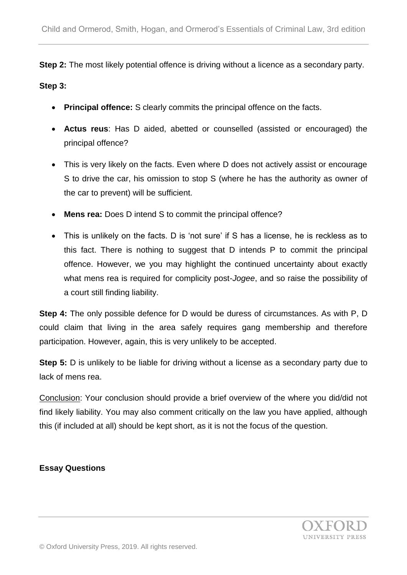**Step 2:** The most likely potential offence is driving without a licence as a secondary party.

#### **Step 3:**

- **Principal offence:** S clearly commits the principal offence on the facts.
- **Actus reus**: Has D aided, abetted or counselled (assisted or encouraged) the principal offence?
- This is very likely on the facts. Even where D does not actively assist or encourage S to drive the car, his omission to stop S (where he has the authority as owner of the car to prevent) will be sufficient.
- **Mens rea:** Does D intend S to commit the principal offence?
- This is unlikely on the facts. D is 'not sure' if S has a license, he is reckless as to this fact. There is nothing to suggest that D intends P to commit the principal offence. However, we you may highlight the continued uncertainty about exactly what mens rea is required for complicity post-*Jogee*, and so raise the possibility of a court still finding liability.

**Step 4:** The only possible defence for D would be duress of circumstances. As with P, D could claim that living in the area safely requires gang membership and therefore participation. However, again, this is very unlikely to be accepted.

**Step 5:** D is unlikely to be liable for driving without a license as a secondary party due to lack of mens rea.

Conclusion: Your conclusion should provide a brief overview of the where you did/did not find likely liability. You may also comment critically on the law you have applied, although this (if included at all) should be kept short, as it is not the focus of the question.

## **Essay Questions**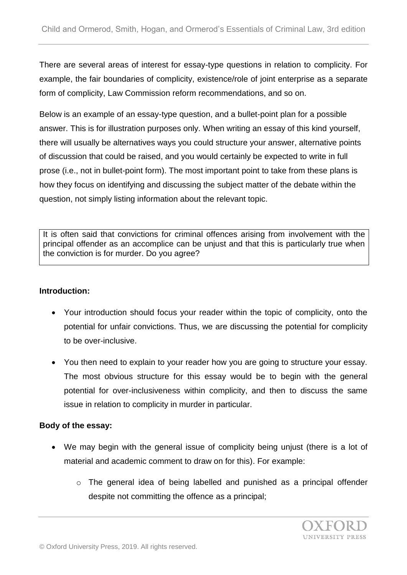There are several areas of interest for essay-type questions in relation to complicity. For example, the fair boundaries of complicity, existence/role of joint enterprise as a separate form of complicity, Law Commission reform recommendations, and so on.

Below is an example of an essay-type question, and a bullet-point plan for a possible answer. This is for illustration purposes only. When writing an essay of this kind yourself, there will usually be alternatives ways you could structure your answer, alternative points of discussion that could be raised, and you would certainly be expected to write in full prose (i.e., not in bullet-point form). The most important point to take from these plans is how they focus on identifying and discussing the subject matter of the debate within the question, not simply listing information about the relevant topic.

It is often said that convictions for criminal offences arising from involvement with the principal offender as an accomplice can be unjust and that this is particularly true when the conviction is for murder. Do you agree?

## **Introduction:**

- Your introduction should focus your reader within the topic of complicity, onto the potential for unfair convictions. Thus, we are discussing the potential for complicity to be over-inclusive.
- You then need to explain to your reader how you are going to structure your essay. The most obvious structure for this essay would be to begin with the general potential for over-inclusiveness within complicity, and then to discuss the same issue in relation to complicity in murder in particular.

## **Body of the essay:**

- We may begin with the general issue of complicity being unjust (there is a lot of material and academic comment to draw on for this). For example:
	- o The general idea of being labelled and punished as a principal offender despite not committing the offence as a principal;